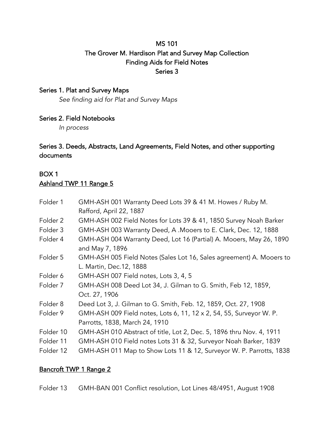## MS 101 The Grover M. Hardison Plat and Survey Map Collection Finding Aids for Field Notes Series 3

### Series 1. Plat and Survey Maps

*See finding aid for Plat and Survey Maps*

### Series 2. Field Notebooks

*In process*

### Series 3. Deeds, Abstracts, Land Agreements, Field Notes, and other supporting documents

# BOX 1

## Ashland TWP 11 Range 5

| Folder 1  | GMH-ASH 001 Warranty Deed Lots 39 & 41 M. Howes / Ruby M.                                        |
|-----------|--------------------------------------------------------------------------------------------------|
|           | Rafford, April 22, 1887                                                                          |
| Folder 2  | GMH-ASH 002 Field Notes for Lots 39 & 41, 1850 Survey Noah Barker                                |
| Folder 3  | GMH-ASH 003 Warranty Deed, A . Mooers to E. Clark, Dec. 12, 1888                                 |
| Folder 4  | GMH-ASH 004 Warranty Deed, Lot 16 (Partial) A. Mooers, May 26, 1890<br>and May 7, 1896           |
| Folder 5  | GMH-ASH 005 Field Notes (Sales Lot 16, Sales agreement) A. Mooers to<br>L. Martin, Dec. 12, 1888 |
| Folder 6  | GMH-ASH 007 Field notes, Lots 3, 4, 5                                                            |
| Folder 7  | GMH-ASH 008 Deed Lot 34, J. Gilman to G. Smith, Feb 12, 1859,                                    |
|           | Oct. 27, 1906                                                                                    |
| Folder 8  | Deed Lot 3, J. Gilman to G. Smith, Feb. 12, 1859, Oct. 27, 1908                                  |
| Folder 9  | GMH-ASH 009 Field notes, Lots 6, 11, 12 x 2, 54, 55, Surveyor W. P.                              |
|           | Parrotts, 1838, March 24, 1910                                                                   |
| Folder 10 | GMH-ASH 010 Abstract of title, Lot 2, Dec. 5, 1896 thru Nov. 4, 1911                             |
| Folder 11 | GMH-ASH 010 Field notes Lots 31 & 32, Surveyor Noah Barker, 1839                                 |
| Folder 12 | GMH-ASH 011 Map to Show Lots 11 & 12, Surveyor W. P. Parrotts, 1838                              |

### Bancroft TWP 1 Range 2

Folder 13 GMH-BAN 001 Conflict resolution, Lot Lines 48/4951, August 1908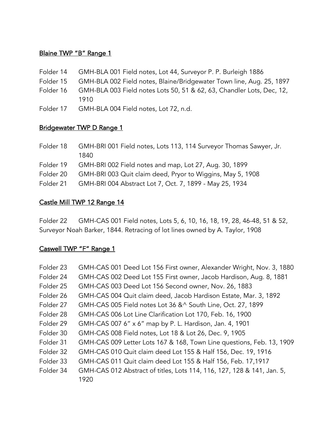### Blaine TWP "B" Range 1

- Folder 14 GMH-BLA 001 Field notes, Lot 44, Surveyor P. P. Burleigh 1886
- Folder 15 GMH-BLA 002 Field notes, Blaine/Bridgewater Town line, Aug. 25, 1897
- Folder 16 GMH-BLA 003 Field notes Lots 50, 51 & 62, 63, Chandler Lots, Dec, 12, 1910
- Folder 17 GMH-BLA 004 Field notes, Lot 72, n.d.

## Bridgewater TWP D Range 1

- Folder 18 GMH-BRI 001 Field notes, Lots 113, 114 Surveyor Thomas Sawyer, Jr. 1840
- Folder 19 GMH-BRI 002 Field notes and map, Lot 27, Aug. 30, 1899
- Folder 20 GMH-BRI 003 Quit claim deed, Pryor to Wiggins, May 5, 1908
- Folder 21 GMH-BRI 004 Abstract Lot 7, Oct. 7, 1899 May 25, 1934

### Castle Mill TWP 12 Range 14

Folder 22 GMH-CAS 001 Field notes, Lots 5, 6, 10, 16, 18, 19, 28, 46-48, 51 & 52, Surveyor Noah Barker, 1844. Retracing of lot lines owned by A. Taylor, 1908

### Caswell TWP "F" Range 1

| Folder 23 | GMH-CAS 001 Deed Lot 156 First owner, Alexander Wright, Nov. 3, 1880   |
|-----------|------------------------------------------------------------------------|
| Folder 24 | GMH-CAS 002 Deed Lot 155 First owner, Jacob Hardison, Aug. 8, 1881     |
| Folder 25 | GMH-CAS 003 Deed Lot 156 Second owner, Nov. 26, 1883                   |
| Folder 26 | GMH-CAS 004 Quit claim deed, Jacob Hardison Estate, Mar. 3, 1892       |
| Folder 27 | GMH-CAS 005 Field notes Lot 36 & ^ South Line, Oct. 27, 1899           |
| Folder 28 | GMH-CAS 006 Lot Line Clarification Lot 170, Feb. 16, 1900              |
| Folder 29 | GMH-CAS 007 6" x 6" map by P. L. Hardison, Jan. 4, 1901                |
| Folder 30 | GMH-CAS 008 Field notes, Lot 18 & Lot 26, Dec. 9, 1905                 |
| Folder 31 | GMH-CAS 009 Letter Lots 167 & 168, Town Line questions, Feb. 13, 1909  |
| Folder 32 | GMH-CAS 010 Quit claim deed Lot 155 & Half 156, Dec. 19, 1916          |
| Folder 33 | GMH-CAS 011 Quit claim deed Lot 155 & Half 156, Feb. 17, 1917          |
| Folder 34 | GMH-CAS 012 Abstract of titles, Lots 114, 116, 127, 128 & 141, Jan. 5, |
|           | 1920                                                                   |
|           |                                                                        |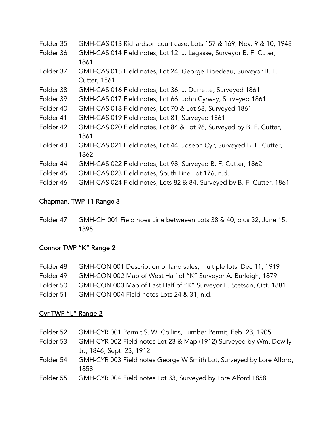| Folder 35 | GMH-CAS 013 Richardson court case, Lots 157 & 169, Nov. 9 & 10, 1948 |
|-----------|----------------------------------------------------------------------|
| Folder 36 | GMH-CAS 014 Field notes, Lot 12. J. Lagasse, Surveyor B. F. Cuter,   |

- 1861 Folder 37 GMH-CAS 015 Field notes, Lot 24, George Tibedeau, Surveyor B. F. Cutter, 1861
- Folder 38 GMH-CAS 016 Field notes, Lot 36, J. Durrette, Surveyed 1861
- Folder 39 GMH-CAS 017 Field notes, Lot 66, John Cyrway, Surveyed 1861
- Folder 40 GMH-CAS 018 Field notes, Lot 70 & Lot 68, Surveyed 1861
- Folder 41 GMH-CAS 019 Field notes, Lot 81, Surveyed 1861
- Folder 42 GMH-CAS 020 Field notes, Lot 84 & Lot 96, Surveyed by B. F. Cutter, 1861
- Folder 43 GMH-CAS 021 Field notes, Lot 44, Joseph Cyr, Surveyed B. F. Cutter, 1862
- Folder 44 GMH-CAS 022 Field notes, Lot 98, Surveyed B. F. Cutter, 1862
- Folder 45 GMH-CAS 023 Field notes, South Line Lot 176, n.d.
- Folder 46 GMH-CAS 024 Field notes, Lots 82 & 84, Surveyed by B. F. Cutter, 1861

#### Chapman, TWP 11 Range 3

Folder 47 GMH-CH 001 Field noes Line betweeen Lots 38 & 40, plus 32, June 15, 1895

### Connor TWP "K" Range 2

| Folder 48 | GMH-CON 001 Description of land sales, multiple lots, Dec 11, 1919 |
|-----------|--------------------------------------------------------------------|
| Folder 49 | GMH-CON 002 Map of West Half of "K" Surveyor A. Burleigh, 1879     |
| Folder 50 | GMH-CON 003 Map of East Half of "K" Surveyor E. Stetson, Oct. 1881 |
| Folder 51 | GMH-CON 004 Field notes Lots 24 & 31, n.d.                         |

### Cyr TWP "L" Range 2

- Folder 53 GMH-CYR 002 Field notes Lot 23 & Map (1912) Surveyed by Wm. Dewlly Jr., 1846, Sept. 23, 1912
- Folder 54 GMH-CYR 003 Field notes George W Smith Lot, Surveyed by Lore Alford, 1858
- Folder 55 GMH-CYR 004 Field notes Lot 33, Surveyed by Lore Alford 1858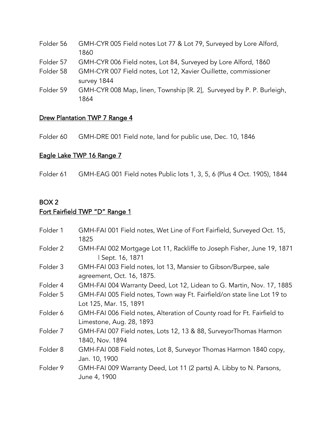- Folder 56 GMH-CYR 005 Field notes Lot 77 & Lot 79, Surveyed by Lore Alford, 1860
- Folder 57 GMH-CYR 006 Field notes, Lot 84, Surveyed by Lore Alford, 1860
- Folder 58 GMH-CYR 007 Field notes, Lot 12, Xavier Ouillette, commissioner survey 1844
- Folder 59 GMH-CYR 008 Map, linen, Township [R. 2], Surveyed by P. P. Burleigh, 1864

### Drew Plantation TWP 7 Range 4

Folder 60 GMH-DRE 001 Field note, land for public use, Dec. 10, 1846

### Eagle Lake TWP 16 Range 7

Folder 61 GMH-EAG 001 Field notes Public lots 1, 3, 5, 6 (Plus 4 Oct. 1905), 1844

### BOX 2 Fort Fairfield TWP "D" Range 1

| Folder 1 | GMH-FAI 001 Field notes, Wet Line of Fort Fairfield, Surveyed Oct. 15,<br>1825                      |
|----------|-----------------------------------------------------------------------------------------------------|
| Folder 2 | GMH-FAI 002 Mortgage Lot 11, Rackliffe to Joseph Fisher, June 19, 1871<br>Sept. 16, 1871            |
| Folder 3 | GMH-FAI 003 Field notes, lot 13, Mansier to Gibson/Burpee, sale<br>agreement, Oct. 16, 1875.        |
| Folder 4 | GMH-FAI 004 Warranty Deed, Lot 12, Lidean to G. Martin, Nov. 17, 1885                               |
| Folder 5 | GMH-FAI 005 Field notes, Town way Ft. Fairfield/on state line Lot 19 to<br>Lot 125, Mar. 15, 1891   |
| Folder 6 | GMH-FAI 006 Field notes, Alteration of County road for Ft. Fairfield to<br>Limestone, Aug. 28, 1893 |
| Folder 7 | GMH-FAI 007 Field notes, Lots 12, 13 & 88, SurveyorThomas Harmon<br>1840, Nov. 1894                 |
| Folder 8 | GMH-FAI 008 Field notes, Lot 8, Surveyor Thomas Harmon 1840 copy,<br>Jan. 10, 1900                  |
| Folder 9 | GMH-FAI 009 Warranty Deed, Lot 11 (2 parts) A. Libby to N. Parsons,<br>June 4, 1900                 |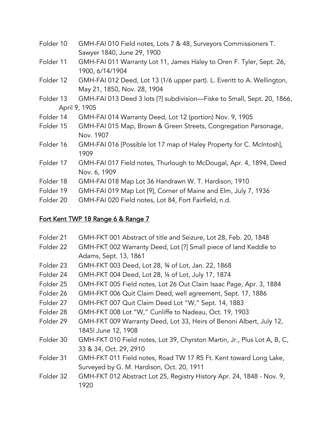- Folder 10 GMH-FAI 010 Field notes, Lots 7 & 48, Surveyors Commissioners T. Sawyer 1840, June 29, 1900
- Folder 11 GMH-FAI 011 Warranty Lot 11, James Haley to Oren F. Tyler, Sept. 26, 1900, 6/14/1904
- Folder 12 GMH-FAI 012 Deed, Lot 13 (1/6 upper part). L. Everitt to A. Wellington, May 21, 1850, Nov. 28, 1904
- Folder 13 GMH-FAI 013 Deed 3 lots [?] subdivision—Fiske to Small, Sept. 20, 1866, April 9, 1905
- Folder 14 GMH-FAI 014 Warranty Deed, Lot 12 (portion) Nov. 9, 1905
- Folder 15 GMH-FAI 015 Map, Brown & Green Streets, Congregation Parsonage, Nov. 1907
- Folder 16 GMH-FAI 016 [Possible lot 17 map of Haley Property for C. McIntosh], 1909
- Folder 17 GMH-FAI 017 Field notes, Thurlough to McDougal, Apr. 4, 1894, Deed Nov. 6, 1909
- Folder 18 GMH-FAI 018 Map Lot 36 Handrawn W. T. Hardison, 1910
- Folder 19 GMH-FAI 019 Map Lot [9], Corner of Maine and Elm, July 7, 1936
- Folder 20 GMH-FAI 020 Field notes, Lot 84, Fort Fairfield, n.d.

## Fort Kent TWP 18 Range 6 & Range 7

Folder 21 GMH-FKT 001 Abstract of title and Seizure, Lot 28, Feb. 20, 1848 Folder 22 GMH-FKT 002 Warranty Deed, Lot [?] Small piece of land Keddle to Adams, Sept. 13, 1861 Folder 23 GMH-FKT 003 Deed, Lot 28, ¾ of Lot, Jan. 22, 1868 Folder 24 GMH-FKT 004 Deed, Lot 28, ¼ of Lot, July 17, 1874 Folder 25 GMH-FKT 005 Field notes, Lot 26 Out Claim Isaac Page, Apr. 3, 1884 Folder 26 GMH-FKT 006 Quit Claim Deed, well agreement, Sept. 17, 1886 Folder 27 GMH-FKT 007 Quit Claim Deed Lot "W," Sept. 14, 1883 Folder 28 GMH-FKT 008 Lot "W," Cunliffe to Nadeau, Oct. 19, 1903 Folder 29 GMH-FKT 009 Warranty Deed, Lot 33, Heirs of Benoni Albert, July 12, 1845| June 12, 1908 Folder 30 GMH-FKT 010 Field notes, Lot 39, Chyrston Martin, Jr., Plus Lot A, B, C, 33 & 34, Oct. 29, 2910 Folder 31 GMH-FKT 011 Field notes, Road TW 17 R5 Ft. Kent toward Long Lake, Surveyed by G. M. Hardison, Oct. 20, 1911 Folder 32 GMH-FKT 012 Abstract Lot 25, Registry History Apr. 24, 1848 - Nov. 9, 1920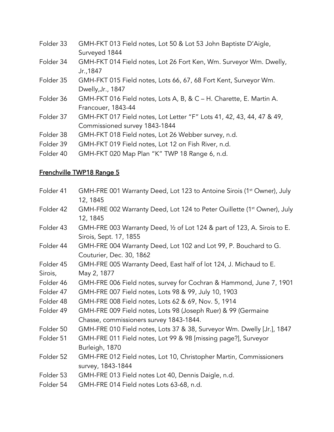- Folder 33 GMH-FKT 013 Field notes, Lot 50 & Lot 53 John Baptiste D'Aigle, Surveyed 1844
- Folder 34 GMH-FKT 014 Field notes, Lot 26 Fort Ken, Wm. Surveyor Wm. Dwelly, Jr.,1847
- Folder 35 GMH-FKT 015 Field notes, Lots 66, 67, 68 Fort Kent, Surveyor Wm. Dwelly,Jr., 1847
- Folder 36 GMH-FKT 016 Field notes, Lots A, B, & C H. Charette, E. Martin A. Francouer, 1843-44
- Folder 37 GMH-FKT 017 Field notes, Lot Letter "F" Lots 41, 42, 43, 44, 47 & 49, Commissioned survey 1843-1844
- Folder 38 GMH-FKT 018 Field notes, Lot 26 Webber survey, n.d.
- Folder 39 GMH-FKT 019 Field notes, Lot 12 on Fish River, n.d.
- Folder 40 GMH-FKT 020 Map Plan "K" TWP 18 Range 6, n.d.

## Frenchville TWP18 Range 5

Folder 41 GMH-FRE 001 Warranty Deed, Lot 123 to Antoine Sirois (1<sup>st</sup> Owner), July 12, 1845 Folder 42 GMH-FRE 002 Warranty Deed, Lot 124 to Peter Ouillette (1<sup>st</sup> Owner), July 12, 1845 Folder 43 GMH-FRE 003 Warranty Deed, 1/2 of Lot 124 & part of 123, A. Sirois to E. Sirois, Sept. 17, 1855 Folder 44 GMH-FRE 004 Warranty Deed, Lot 102 and Lot 99, P. Bouchard to G. Couturier, Dec. 30, 1862 Folder 45 GMH-FRE 005 Warranty Deed, East half of lot 124, J. Michaud to E. Sirois, May 2, 1877 Folder 46 GMH-FRE 006 Field notes, survey for Cochran & Hammond, June 7, 1901 Folder 47 GMH-FRE 007 Field notes, Lots 98 & 99, July 10, 1903 Folder 48 GMH-FRE 008 Field notes, Lots 62 & 69, Nov. 5, 1914 Folder 49 GMH-FRE 009 Field notes, Lots 98 (Joseph Ruer) & 99 (Germaine Chasse, commissioners survey 1843-1844. Folder 50 GMH-FRE 010 Field notes, Lots 37 & 38, Surveyor Wm. Dwelly [Jr.], 1847 Folder 51 GMH-FRE 011 Field notes, Lot 99 & 98 [missing page?], Surveyor Burleigh, 1870 Folder 52 GMH-FRE 012 Field notes, Lot 10, Christopher Martin, Commissioners survey, 1843-1844 Folder 53 GMH-FRE 013 Field notes Lot 40, Dennis Daigle, n.d. Folder 54 GMH-FRE 014 Field notes Lots 63-68, n.d.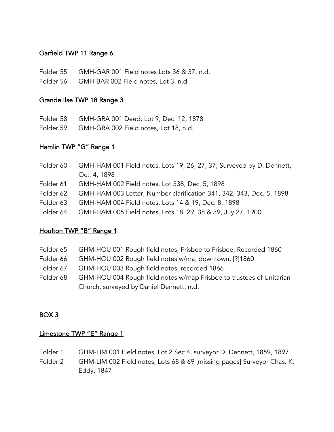### Garfield TWP 11 Range 6

- Folder 55 GMH-GAR 001 Field notes Lots 36 & 37, n.d.
- Folder 56 GMH-BAR 002 Field notes, Lot 3, n.d

#### Grande Ilse TWP 18 Range 3

Folder 58 GMH-GRA 001 Deed, Lot 9, Dec. 12, 1878

Folder 59 GMH-GRA 002 Field notes, Lot 18, n.d.

### Hamlin TWP "G" Range 1

| Folder 60 | GMH-HAM 001 Field notes, Lots 19, 26, 27, 37, Surveyed by D. Dennett, |
|-----------|-----------------------------------------------------------------------|
|           | Oct. 4, 1898                                                          |
| Folder 61 | GMH-HAM 002 Field notes, Lot 338, Dec. 5, 1898                        |
| Folder 62 | GMH-HAM 003 Letter, Number clarification 341, 342, 343, Dec. 5, 1898  |
| Folder 63 | GMH-HAM 004 Field notes, Lots 14 & 19, Dec. 8, 1898                   |
| Folder 64 | GMH-HAM 005 Field notes, Lots 18, 29, 38 & 39, Juy 27, 1900           |

### Houlton TWP "B" Range 1

- Folder 65 GHM-HOU 001 Rough field notes, Frisbee to Frisbee, Recorded 1860
- Folder 66 GHM-HOU 002 Rough field notes w/ma; downtown, [?]1860
- Folder 67 GHM-HOU 003 Rough field notes, recorded 1866
- Folder 68 GHM-HOU 004 Rough field notes w/map Frisbee to trustees of Unitarian Church, surveyed by Daniel Dennett, n.d.

#### BOX 3

#### Limestone TWP "E" Range 1

- Folder 1 GHM-LIM 001 Field notes, Lot 2 Sec 4, surveyor D. Dennett, 1859, 1897
- Folder 2 GHM-LIM 002 Field notes, Lots 68 & 69 [missing pages] Surveyor Chas. K. Eddy, 1847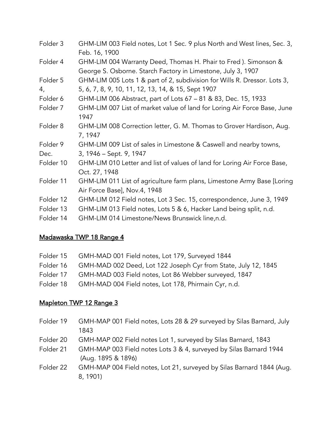| Folder 3  | GHM-LIM 003 Field notes, Lot 1 Sec. 9 plus North and West lines, Sec. 3,<br>Feb. 16, 1900                                        |
|-----------|----------------------------------------------------------------------------------------------------------------------------------|
| Folder 4  | GHM-LIM 004 Warranty Deed, Thomas H. Phair to Fred ). Simonson &<br>George S. Osborne. Starch Factory in Limestone, July 3, 1907 |
| Folder 5  | GHM-LIM 005 Lots 1 & part of 2, subdivision for Wills R. Dressor. Lots 3,                                                        |
| 4,        | 5, 6, 7, 8, 9, 10, 11, 12, 13, 14, & 15, Sept 1907                                                                               |
| Folder 6  | GHM-LIM 006 Abstract, part of Lots 67 - 81 & 83, Dec. 15, 1933                                                                   |
| Folder 7  | GHM-LIM 007 List of market value of land for Loring Air Force Base, June<br>1947                                                 |
| Folder 8  | GHM-LIM 008 Correction letter, G. M. Thomas to Grover Hardison, Aug.<br>7, 1947                                                  |
| Folder 9  | GHM-LIM 009 List of sales in Limestone & Caswell and nearby towns,                                                               |
| Dec.      | 3, 1946 – Sept. 9, 1947                                                                                                          |
| Folder 10 | GHM-LIM 010 Letter and list of values of land for Loring Air Force Base,<br>Oct. 27, 1948                                        |
| Folder 11 | GHM-LIM 011 List of agriculture farm plans, Limestone Army Base [Loring]                                                         |
|           | Air Force Base], Nov.4, 1948                                                                                                     |
| Folder 12 | GHM-LIM 012 Field notes, Lot 3 Sec. 15, correspondence, June 3, 1949                                                             |
| Folder 13 | GHM-LIM 013 Field notes, Lots 5 & 6, Hacker Land being split, n.d.                                                               |
| Folder 14 | GHM-LIM 014 Limestone/News Brunswick line,n.d.                                                                                   |

### Madawaska TWP 18 Range 4

|           | Folder 15 GMH-MAD 001 Field notes, Lot 179, Surveyed 1844                |
|-----------|--------------------------------------------------------------------------|
|           | Folder 16 GMH-MAD 002 Deed, Lot 122 Joseph Cyr from State, July 12, 1845 |
| Folder 17 | GMH-MAD 003 Field notes, Lot 86 Webber surveyed, 1847                    |
|           | Folder 18 GMH-MAD 004 Field notes, Lot 178, Phirmain Cyr, n.d.           |

### Mapleton TWP 12 Range 3

- Folder 19 GMH-MAP 001 Field notes, Lots 28 & 29 surveyed by Silas Barnard, July 1843
- Folder 20 GMH-MAP 002 Field notes Lot 1, surveyed by Silas Barnard, 1843
- Folder 21 GMH-MAP 003 Field notes Lots 3 & 4, surveyed by Silas Barnard 1944 (Aug. 1895 & 1896)
- Folder 22 GMH-MAP 004 Field notes, Lot 21, surveyed by Silas Barnard 1844 (Aug. 8, 1901)